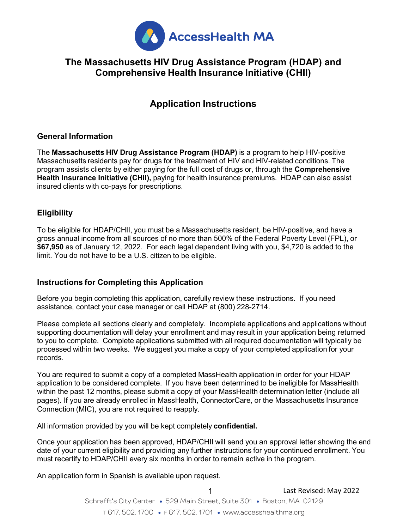

# **The Massachusetts HIV Drug Assistance Program (HDAP) and Comprehensive Health Insurance Initiative (CHII)**

# **Application Instructions**

### **General Information**

The **Massachusetts HIV Drug Assistance Program (HDAP)** is a program to help HIV-positive Massachusetts residents pay for drugs for the treatment of HIV and HIV-related conditions. The program assists clients by either paying for the full cost of drugs or, through the **Comprehensive Health Insurance Initiative (CHII),** paying for health insurance premiums. HDAP can also assist insured clients with co-pays for prescriptions.

### **Eligibility**

To be eligible for HDAP/CHII, you must be a Massachusetts resident, be HIV-positive, and have a gross annual income from all sources of no more than 500% of the Federal Poverty Level (FPL), or **\$67,950** as of January 12, 2022. For each legal dependent living with you, \$4,720 is added to the limit. You do not have to be a U.S. citizen to be eligible.

### **Instructions for Completing this Application**

Before you begin completing this application, carefully review these instructions. If you need assistance, contact your case manager or call HDAP at (800) 228-2714.

Please complete all sections clearly and completely. Incomplete applications and applications without supporting documentation will delay your enrollment and may result in your application being returned to you to complete. Complete applications submitted with all required documentation will typically be processed within two weeks. We suggest you make a copy of your completed application for your records.

You are required to submit a copy of a completed MassHealth application in order for your HDAP application to be considered complete. If you have been determined to be ineligible for MassHealth within the past 12 months, please submit a copy of your MassHealth determination letter (include all pages). If you are already enrolled in MassHealth, ConnectorCare, or the Massachusetts Insurance Connection (MIC), you are not required to reapply.

All information provided by you will be kept completely **confidential.**

Once your application has been approved, HDAP/CHII will send you an approval letter showing the end date of your current eligibility and providing any further instructions for your continued enrollment. You must recertify to HDAP/CHII every six months in order to remain active in the program.

An application form in Spanish is available upon request.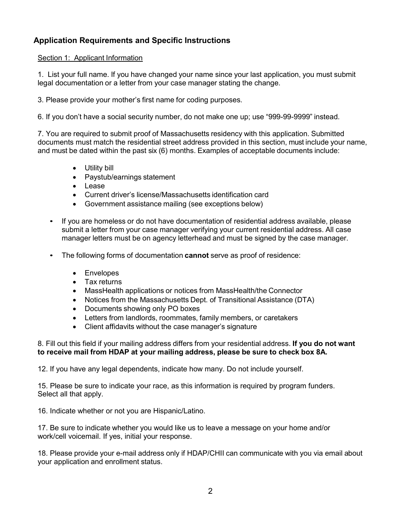## **Application Requirements and Specific Instructions**

#### Section 1: Applicant Information

1. List your full name. If you have changed your name since your last application, you must submit legal documentation or a letter from your case manager stating the change.

3. Please provide your mother's first name for coding purposes.

6. If you don't have a social security number, do not make one up; use "999-99-9999" instead.

7. You are required to submit proof of Massachusetts residency with this application. Submitted documents must match the residential street address provided in this section, must include your name, and must be dated within the past six (6) months. Examples of acceptable documents include:

- Utility bill
- Paystub/earnings statement
- Lease
- Current driver's license/Massachusetts identification card
- Government assistance mailing (see exceptions below)
- If you are homeless or do not have documentation of residential address available, please submit a letter from your case manager verifying your current residential address. All case manager letters must be on agency letterhead and must be signed by the case manager.
- The following forms of documentation **cannot** serve as proof of residence:
	- Envelopes
	- Tax returns
	- MassHealth applications or notices from MassHealth/the Connector
	- Notices from the Massachusetts Dept. of Transitional Assistance (DTA)
	- Documents showing only PO boxes
	- Letters from landlords, roommates, family members, or caretakers
	- Client affidavits without the case manager's signature

8. Fill out this field if your mailing address differs from your residential address. **If you do not want to receive mail from HDAP at your mailing address, please be sure to check box 8A.**

12. If you have any legal dependents, indicate how many. Do not include yourself.

15. Please be sure to indicate your race, as this information is required by program funders. Select all that apply.

16. Indicate whether or not you are Hispanic/Latino.

17. Be sure to indicate whether you would like us to leave a message on your home and/or work/cell voicemail. If yes, initial your response.

18. Please provide your e-mail address only if HDAP/CHII can communicate with you via email about your application and enrollment status.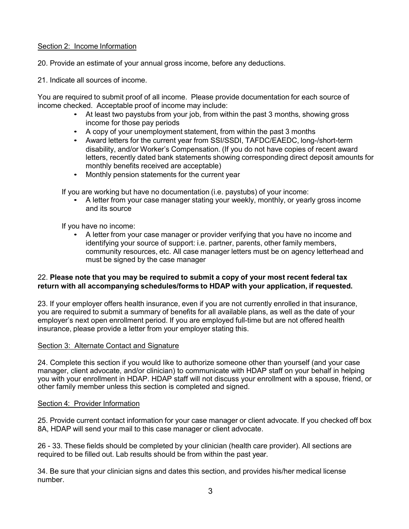#### Section 2: Income Information

20. Provide an estimate of your annual gross income, before any deductions.

21. Indicate all sources of income.

You are required to submit proof of all income. Please provide documentation for each source of income checked. Acceptable proof of income may include:

- At least two paystubs from your job, from within the past 3 months, showing gross income for those pay periods
- A copy of your unemployment statement, from within the past 3 months
- Award letters for the current year from SSI/SSDI, TAFDC/EAEDC, long-/short-term disability, and/or Worker's Compensation. (If you do not have copies of recent award letters, recently dated bank statements showing corresponding direct deposit amounts for monthly benefits received are acceptable)
- Monthly pension statements for the current year

If you are working but have no documentation (i.e. paystubs) of your income:

• A letter from your case manager stating your weekly, monthly, or yearly gross income and its source

If you have no income:

• A letter from your case manager or provider verifying that you have no income and identifying your source of support: i.e. partner, parents, other family members, community resources, etc. All case manager letters must be on agency letterhead and must be signed by the case manager

#### 22. **Please note that you may be required to submit a copy of your most recent federal tax return with all accompanying schedules/forms to HDAP with your application, if requested.**

23. If your employer offers health insurance, even if you are not currently enrolled in that insurance, you are required to submit a summary of benefits for all available plans, as well as the date of your employer's next open enrollment period. If you are employed full-time but are not offered health insurance, please provide a letter from your employer stating this.

#### Section 3: Alternate Contact and Signature

24. Complete this section if you would like to authorize someone other than yourself (and your case manager, client advocate, and/or clinician) to communicate with HDAP staff on your behalf in helping you with your enrollment in HDAP. HDAP staff will not discuss your enrollment with a spouse, friend, or other family member unless this section is completed and signed.

#### Section 4: Provider Information

25. Provide current contact information for your case manager or client advocate. If you checked off box 8A, HDAP will send your mail to this case manager or client advocate.

26 - 33. These fields should be completed by your clinician (health care provider). All sections are required to be filled out. Lab results should be from within the past year.

34. Be sure that your clinician signs and dates this section, and provides his/her medical license number.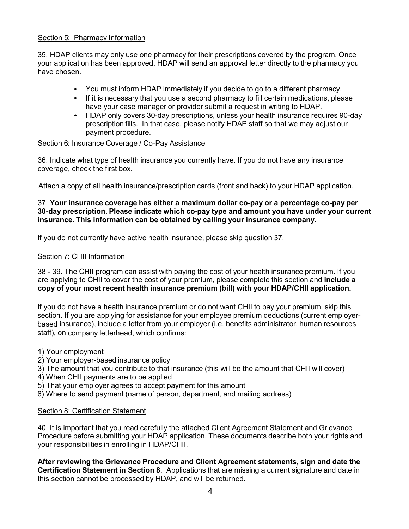#### Section 5: Pharmacy Information

35. HDAP clients may only use one pharmacy for their prescriptions covered by the program. Once your application has been approved, HDAP will send an approval letter directly to the pharmacy you have chosen.

- You must inform HDAP immediately if you decide to go to a different pharmacy.
- If it is necessary that you use a second pharmacy to fill certain medications, please have your case manager or provider submit a request in writing to HDAP.
- HDAP only covers 30-day prescriptions, unless your health insurance requires 90-day prescription fills. In that case, please notify HDAP staff so that we may adjust our payment procedure.

#### Section 6: Insurance Coverage / Co-Pay Assistance

36. Indicate what type of health insurance you currently have. If you do not have any insurance coverage, check the first box.

Attach a copy of all health insurance/prescription cards (front and back) to your HDAP application.

#### 37. **Your insurance coverage has either a maximum dollar co-pay or a percentage co-pay per 30-day prescription. Please indicate which co-pay type and amount you have under your current insurance. This information can be obtained by calling your insurance company.**

If you do not currently have active health insurance, please skip question 37.

#### Section 7: CHII Information

38 - 39. The CHII program can assist with paying the cost of your health insurance premium. If you are applying to CHII to cover the cost of your premium, please complete this section and **include a copy of your most recent health insurance premium (bill) with your HDAP/CHII application.**

If you do not have a health insurance premium or do not want CHII to pay your premium, skip this section. If you are applying for assistance for your employee premium deductions (current employerbased insurance), include a letter from your employer (i.e. benefits administrator, human resources staff), on company letterhead, which confirms:

- 1) Your employment
- 2) Your employer-based insurance policy
- 3) The amount that you contribute to that insurance (this will be the amount that CHII will cover)
- 4) When CHII payments are to be applied
- 5) That your employer agrees to accept payment for this amount
- 6) Where to send payment (name of person, department, and mailing address)

#### Section 8: Certification Statement

40. It is important that you read carefully the attached Client Agreement Statement and Grievance Procedure before submitting your HDAP application. These documents describe both your rights and your responsibilities in enrolling in HDAP/CHII.

**After reviewing the Grievance Procedure and Client Agreement statements, sign and date the Certification Statement in Section 8**. Applications that are missing a current signature and date in this section cannot be processed by HDAP, and will be returned.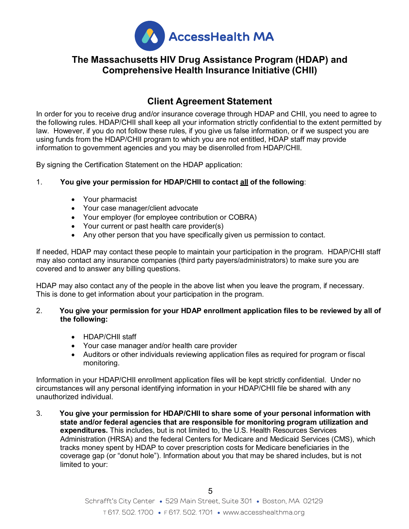

# **The Massachusetts HIV Drug Assistance Program (HDAP) and Comprehensive Health Insurance Initiative (CHII)**

# **Client Agreement Statement**

In order for you to receive drug and/or insurance coverage through HDAP and CHII, you need to agree to the following rules. HDAP/CHII shall keep all your information strictly confidential to the extent permitted by law. However, if you do not follow these rules, if you give us false information, or if we suspect you are using funds from the HDAP/CHII program to which you are not entitled, HDAP staff may provide information to government agencies and you may be disenrolled from HDAP/CHII.

By signing the Certification Statement on the HDAP application:

### 1. **You give your permission for HDAP/CHII to contact all of the following**:

- Your pharmacist
- Your case manager/client advocate
- Your employer (for employee contribution or COBRA)
- Your current or past health care provider(s)
- Any other person that you have specifically given us permission to contact.

If needed, HDAP may contact these people to maintain your participation in the program. HDAP/CHII staff may also contact any insurance companies (third party payers/administrators) to make sure you are covered and to answer any billing questions.

HDAP may also contact any of the people in the above list when you leave the program, if necessary. This is done to get information about your participation in the program.

#### 2. **You give your permission for your HDAP enrollment application files to be reviewed by all of the following:**

- HDAP/CHII staff
- Your case manager and/or health care provider
- Auditors or other individuals reviewing application files as required for program or fiscal monitoring.

Information in your HDAP/CHII enrollment application files will be kept strictly confidential. Under no circumstances will any personal identifying information in your HDAP/CHII file be shared with any unauthorized individual.

3. **You give your permission for HDAP/CHII to share some of your personal information with state and/or federal agencies that are responsible for monitoring program utilization and expenditures.** This includes, but is not limited to, the U.S. Health Resources Services Administration (HRSA) and the federal Centers for Medicare and Medicaid Services (CMS), which tracks money spent by HDAP to cover prescription costs for Medicare beneficiaries in the coverage gap (or "donut hole"). Information about you that may be shared includes, but is not limited to your: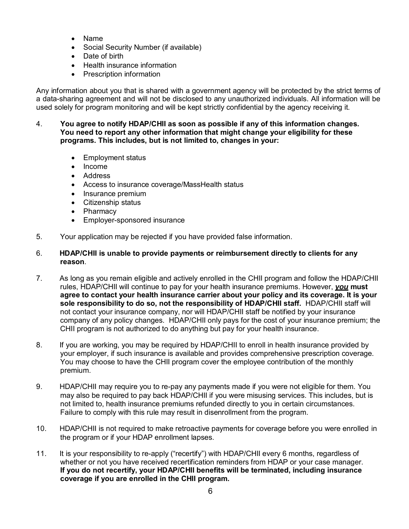- Name
- Social Security Number (if available)
- Date of birth
- Health insurance information
- Prescription information

Any information about you that is shared with a government agency will be protected by the strict terms of a data-sharing agreement and will not be disclosed to any unauthorized individuals. All information will be used solely for program monitoring and will be kept strictly confidential by the agency receiving it.

- 4. **You agree to notify HDAP/CHII as soon as possible if any of this information changes. You need to report any other information that might change your eligibility for these programs. This includes, but is not limited to, changes in your:**
	- Employment status
	- Income
	- Address
	- Access to insurance coverage/MassHealth status
	- Insurance premium
	- Citizenship status
	- Pharmacy
	- Employer-sponsored insurance
- 5. Your application may be rejected if you have provided false information.
- 6. **HDAP/CHII is unable to provide payments or reimbursement directly to clients for any reason**.
- 7. As long as you remain eligible and actively enrolled in the CHII program and follow the HDAP/CHII rules, HDAP/CHII will continue to pay for your health insurance premiums. However, *you* **must agree to contact your health insurance carrier about your policy and its coverage. It is your sole responsibility to do so, not the responsibility of HDAP/CHII staff.** HDAP/CHII staff will not contact your insurance company, nor will HDAP/CHII staff be notified by your insurance company of any policy changes. HDAP/CHII only pays for the cost of your insurance premium; the CHII program is not authorized to do anything but pay for your health insurance.
- 8. If you are working, you may be required by HDAP/CHII to enroll in health insurance provided by your employer, if such insurance is available and provides comprehensive prescription coverage. You may choose to have the CHII program cover the employee contribution of the monthly premium.
- 9. HDAP/CHII may require you to re-pay any payments made if you were not eligible for them. You may also be required to pay back HDAP/CHII if you were misusing services. This includes, but is not limited to, health insurance premiums refunded directly to you in certain circumstances. Failure to comply with this rule may result in disenrollment from the program.
- 10. HDAP/CHII is not required to make retroactive payments for coverage before you were enrolled in the program or if your HDAP enrollment lapses.
- 11. It is your responsibility to re-apply ("recertify") with HDAP/CHII every 6 months, regardless of whether or not you have received recertification reminders from HDAP or your case manager. **If you do not recertify, your HDAP/CHII benefits will be terminated, including insurance coverage if you are enrolled in the CHII program.**